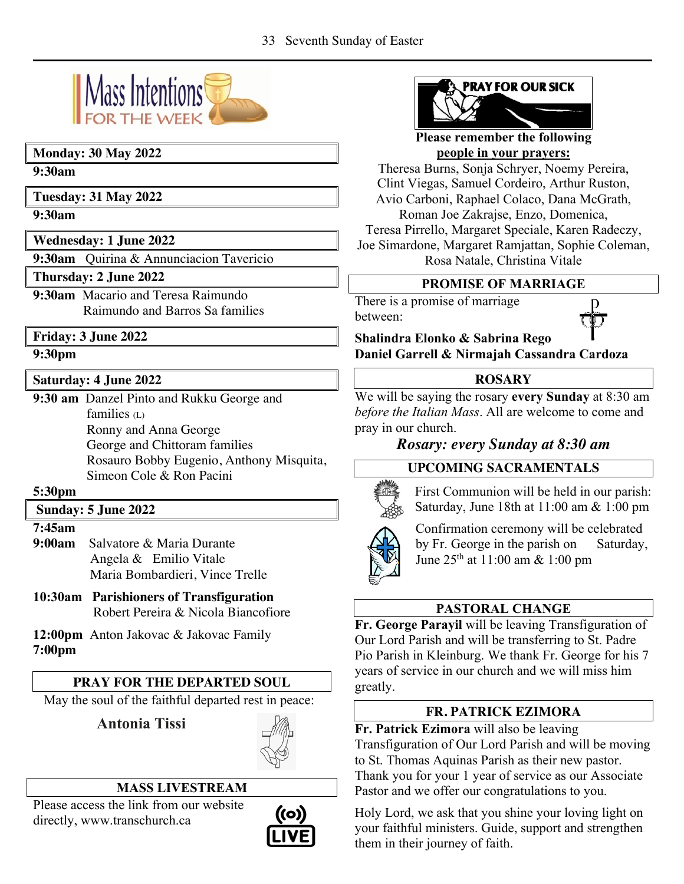

### **Monday: 30 May 2022**

#### **9:30am**

**Tuesday: 31 May 2022**

**9:30am**

**Wednesday: 1 June 2022**

**9:30am** Quirina & Annunciacion Tavericio

**Thursday: 2 June 2022**

**9:30am** Macario and Teresa Raimundo Raimundo and Barros Sa families

## **Friday: 3 June 2022**

### **9:30pm**

### **Saturday: 4 June 2022**

**9:30 am** Danzel Pinto and Rukku George and  $families (L)$ Ronny and Anna George George and Chittoram families Rosauro Bobby Eugenio, Anthony Misquita, Simeon Cole & Ron Pacini

#### **5:30pm**

### **Sunday: 5 June 2022**

#### **7:45am**

- **9:00am** Salvatore & Maria Durante Angela & Emilio Vitale Maria Bombardieri, Vince Trelle
- **10:30am Parishioners of Transfiguration** Robert Pereira & Nicola Biancofiore

**12:00pm** Anton Jakovac & Jakovac Family **7:00pm** 

# **PRAY FOR THE DEPARTED SOUL**

May the soul of the faithful departed rest in peace:

 **Antonia Tissi**



## **MASS LIVESTREAM**

Please access the link from our website directly, www.transchurch.ca





**Please remember the following people in your prayers:**

Theresa Burns, Sonja Schryer, Noemy Pereira, Clint Viegas, Samuel Cordeiro, Arthur Ruston, Avio Carboni, Raphael Colaco, Dana McGrath, Roman Joe Zakrajse, Enzo, Domenica,

Teresa Pirrello, Margaret Speciale, Karen Radeczy, Joe Simardone, Margaret Ramjattan, Sophie Coleman, Rosa Natale, Christina Vitale

### **PROMISE OF MARRIAGE**

There is a promise of marriage between:



**Shalindra Elonko & Sabrina Rego Daniel Garrell & Nirmajah Cassandra Cardoza** 

### **ROSARY**

We will be saying the rosary **every Sunday** at 8:30 am *before the Italian Mass*. All are welcome to come and pray in our church.

## *Rosary: every Sunday at 8:30 am*

## **UPCOMING SACRAMENTALS**



First Communion will be held in our parish: Saturday, June 18th at 11:00 am & 1:00 pm



Confirmation ceremony will be celebrated by Fr. George in the parish on Saturday, June 25th at 11:00 am & 1:00 pm

## **PASTORAL CHANGE**

**Fr. George Parayil** will be leaving Transfiguration of Our Lord Parish and will be transferring to St. Padre Pio Parish in Kleinburg. We thank Fr. George for his 7 years of service in our church and we will miss him greatly.

## **FR. PATRICK EZIMORA**

**Fr. Patrick Ezimora** will also be leaving

Transfiguration of Our Lord Parish and will be moving to St. Thomas Aquinas Parish as their new pastor. Thank you for your 1 year of service as our Associate Pastor and we offer our congratulations to you.

Holy Lord, we ask that you shine your loving light on your faithful ministers. Guide, support and strengthen them in their journey of faith.